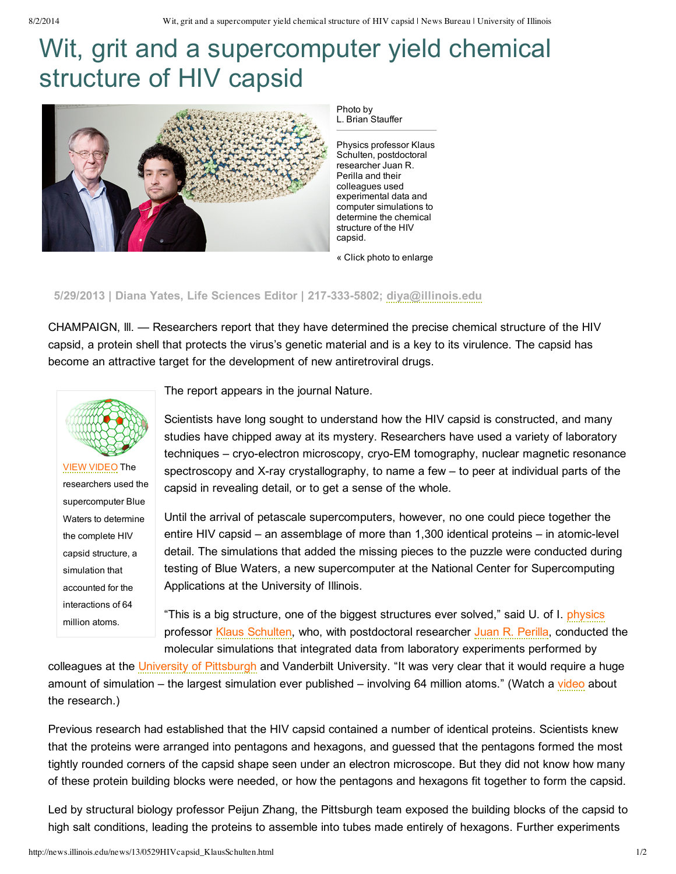## Wit, grit and a supercomputer yield chemical structure of HIV capsid



Photo by L. Brian Stauffer

Physics professor Klaus Schulten, postdoctoral researcher Juan R. Perilla and their colleagues used experimental data and computer simulations to determine the chemical structure of the HIV capsid.

« Click photo to enlarge

## **5/29/2013 | Diana Yates, Life Sciences Editor | 2173335802; [diya@illinois.edu](mailto:diya@illinois.edu)**

CHAMPAIGN, lll. — Researchers report that they have determined the precise chemical structure of the HIV capsid, a protein shell that protects the virus's genetic material and is a key to its virulence. The capsid has become an attractive target for the development of new antiretroviral drugs.



VIEW [VIDEO](http://youtu.be/pupVZl347H0) The researchers used the supercomputer Blue Waters to determine the complete HIV capsid structure, a simulation that accounted for the interactions of 64 million atoms.

The report appears in the journal Nature.

Scientists have long sought to understand how the HIV capsid is constructed, and many studies have chipped away at its mystery. Researchers have used a variety of laboratory techniques – cryo-electron microscopy, cryo-EM tomography, nuclear magnetic resonance spectroscopy and X-ray crystallography, to name a few  $-$  to peer at individual parts of the capsid in revealing detail, or to get a sense of the whole.

Until the arrival of petascale supercomputers, however, no one could piece together the entire HIV capsid – an assemblage of more than 1,300 identical proteins – in atomic-level detail. The simulations that added the missing pieces to the puzzle were conducted during testing of Blue Waters, a new supercomputer at the National Center for Supercomputing Applications at the University of Illinois.

"This is a big structure, one of the biggest structures ever solved," said U. of I. [physics](http://physics.illinois.edu/) professor Klaus [Schulten](http://physics.illinois.edu/people/profile.asp?schulten), who, with postdoctoral researcher Juan R. [Perilla](http://www.ks.uiuc.edu/~juan/), conducted the molecular simulations that integrated data from laboratory experiments performed by

colleagues at the University of [Pittsburgh](http://www.hivppi.pitt.edu/) and Vanderbilt University. "It was very clear that it would require a huge amount of simulation – the largest simulation ever published – involving 64 million atoms." (Watch a [video](http://www.youtube.com/watch?v=pupVZl347H0&feature=em-share_video_user) about the research.)

Previous research had established that the HIV capsid contained a number of identical proteins. Scientists knew that the proteins were arranged into pentagons and hexagons, and guessed that the pentagons formed the most tightly rounded corners of the capsid shape seen under an electron microscope. But they did not know how many of these protein building blocks were needed, or how the pentagons and hexagons fit together to form the capsid.

Led by structural biology professor Peijun Zhang, the Pittsburgh team exposed the building blocks of the capsid to high salt conditions, leading the proteins to assemble into tubes made entirely of hexagons. Further experiments